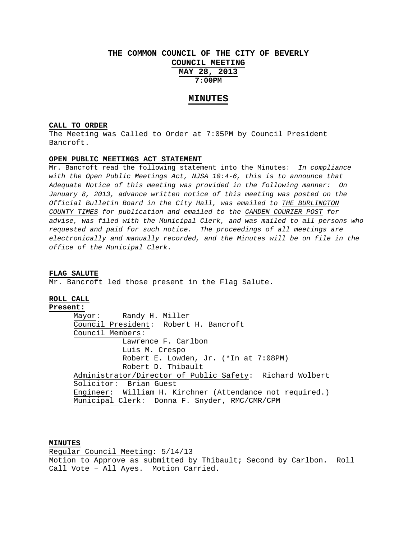# **THE COMMON COUNCIL OF THE CITY OF BEVERLY COUNCIL MEETING MAY 28, 2013 7:00PM**

### **MINUTES**

## **CALL TO ORDER**

The Meeting was Called to Order at 7:05PM by Council President Bancroft.

#### **OPEN PUBLIC MEETINGS ACT STATEMENT**

Mr. Bancroft read the following statement into the Minutes: *In compliance with the Open Public Meetings Act, NJSA 10:4-6, this is to announce that Adequate Notice of this meeting was provided in the following manner: On January 8, 2013, advance written notice of this meeting was posted on the Official Bulletin Board in the City Hall, was emailed to THE BURLINGTON COUNTY TIMES for publication and emailed to the CAMDEN COURIER POST for advise, was filed with the Municipal Clerk, and was mailed to all persons who requested and paid for such notice. The proceedings of all meetings are electronically and manually recorded, and the Minutes will be on file in the office of the Municipal Clerk.* 

#### **FLAG SALUTE**

Mr. Bancroft led those present in the Flag Salute.

### **ROLL CALL**

**Present:** Mayor: Randy H. Miller Council President: Robert H. Bancroft Council Members: Lawrence F. Carlbon Luis M. Crespo Robert E. Lowden, Jr. (\*In at 7:08PM) Robert D. Thibault Administrator/Director of Public Safety: Richard Wolbert Solicitor: Brian Guest Engineer: William H. Kirchner (Attendance not required.) Municipal Clerk: Donna F. Snyder, RMC/CMR/CPM

### **MINUTES**

Regular Council Meeting: 5/14/13 Motion to Approve as submitted by Thibault; Second by Carlbon. Roll Call Vote – All Ayes. Motion Carried.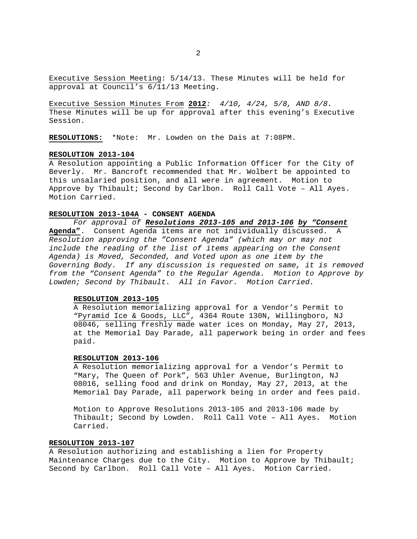Executive Session Meeting: 5/14/13. These Minutes will be held for approval at Council's 6/11/13 Meeting.

Executive Session Minutes From **2012***: 4/10, 4/24, 5/8, AND 8/8.* These Minutes will be up for approval after this evening's Executive Session.

**RESOLUTIONS:** \*Note: Mr. Lowden on the Dais at 7:08PM.

#### **RESOLUTION 2013-104**

A Resolution appointing a Public Information Officer for the City of Beverly. Mr. Bancroft recommended that Mr. Wolbert be appointed to this unsalaried position, and all were in agreement. Motion to Approve by Thibault; Second by Carlbon. Roll Call Vote – All Ayes. Motion Carried.

### **RESOLUTION 2013-104A - CONSENT AGENDA**

*For approval of Resolutions 2013-105 and 2013-106 by "Consent*  **Agenda"**. Consent Agenda items are not individually discussed. A

*Resolution approving the "Consent Agenda" (which may or may not include the reading of the list of items appearing on the Consent Agenda) is Moved, Seconded, and Voted upon as one item by the Governing Body. If any discussion is requested on same, it is removed from the "Consent Agenda" to the Regular Agenda. Motion to Approve by Lowden; Second by Thibault. All in Favor. Motion Carried.* 

#### **RESOLUTION 2013-105**

A Resolution memorializing approval for a Vendor's Permit to "Pyramid Ice & Goods, LLC", 4364 Route 130N, Willingboro, NJ 08046, selling freshly made water ices on Monday, May 27, 2013, at the Memorial Day Parade, all paperwork being in order and fees paid.

### **RESOLUTION 2013-106**

A Resolution memorializing approval for a Vendor's Permit to "Mary, The Queen of Pork", 563 Uhler Avenue, Burlington, NJ 08016, selling food and drink on Monday, May 27, 2013, at the Memorial Day Parade, all paperwork being in order and fees paid.

Motion to Approve Resolutions 2013-105 and 2013-106 made by Thibault; Second by Lowden. Roll Call Vote – All Ayes. Motion Carried.

# **RESOLUTION 2013-107**

A Resolution authorizing and establishing a lien for Property Maintenance Charges due to the City. Motion to Approve by Thibault; Second by Carlbon. Roll Call Vote – All Ayes. Motion Carried.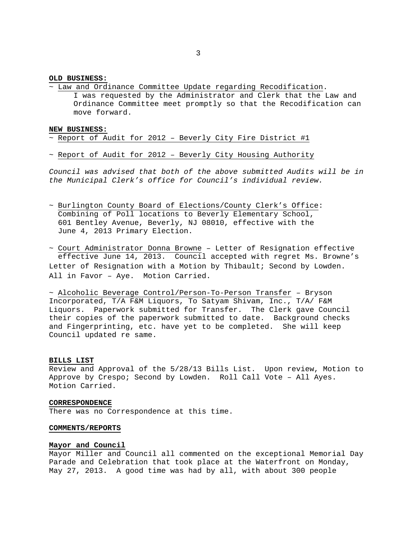### **OLD BUSINESS:**

~ Law and Ordinance Committee Update regarding Recodification. I was requested by the Administrator and Clerk that the Law and Ordinance Committee meet promptly so that the Recodification can move forward.

#### **NEW BUSINESS:**

### $\sim$  Report of Audit for 2012 - Beverly City Fire District #1

~ Report of Audit for 2012 – Beverly City Housing Authority

*Council was advised that both of the above submitted Audits will be in the Municipal Clerk's office for Council's individual review.* 

~ Burlington County Board of Elections/County Clerk's Office: Combining of Poll locations to Beverly Elementary School, 601 Bentley Avenue, Beverly, NJ 08010, effective with the June 4, 2013 Primary Election.

~ Court Administrator Donna Browne – Letter of Resignation effective effective June 14, 2013. Council accepted with regret Ms. Browne's Letter of Resignation with a Motion by Thibault; Second by Lowden. All in Favor – Aye. Motion Carried.

~ Alcoholic Beverage Control/Person-To-Person Transfer – Bryson Incorporated, T/A F&M Liquors, To Satyam Shivam, Inc., T/A/ F&M Liquors. Paperwork submitted for Transfer. The Clerk gave Council their copies of the paperwork submitted to date. Background checks and Fingerprinting, etc. have yet to be completed. She will keep Council updated re same.

#### **BILLS LIST**

Review and Approval of the 5/28/13 Bills List. Upon review, Motion to Approve by Crespo; Second by Lowden. Roll Call Vote – All Ayes. Motion Carried.

### **CORRESPONDENCE**

There was no Correspondence at this time.

#### **COMMENTS/REPORTS**

### **Mayor and Council**

Mayor Miller and Council all commented on the exceptional Memorial Day Parade and Celebration that took place at the Waterfront on Monday, May 27, 2013. A good time was had by all, with about 300 people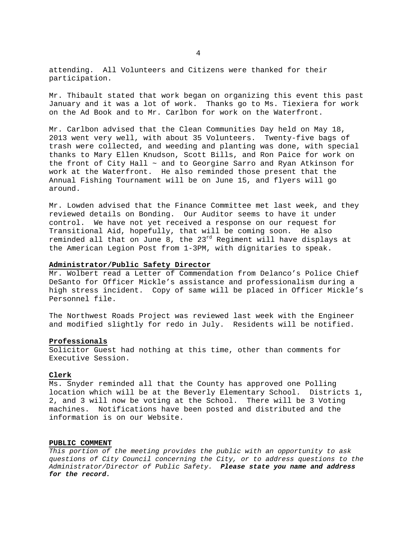attending. All Volunteers and Citizens were thanked for their participation.

Mr. Thibault stated that work began on organizing this event this past January and it was a lot of work. Thanks go to Ms. Tiexiera for work on the Ad Book and to Mr. Carlbon for work on the Waterfront.

Mr. Carlbon advised that the Clean Communities Day held on May 18, 2013 went very well, with about 35 Volunteers. Twenty-five bags of trash were collected, and weeding and planting was done, with special thanks to Mary Ellen Knudson, Scott Bills, and Ron Paice for work on the front of City Hall  $\sim$  and to Georgine Sarro and Ryan Atkinson for work at the Waterfront. He also reminded those present that the Annual Fishing Tournament will be on June 15, and flyers will go around.

Mr. Lowden advised that the Finance Committee met last week, and they reviewed details on Bonding. Our Auditor seems to have it under control. We have not yet received a response on our request for Transitional Aid, hopefully, that will be coming soon. He also reminded all that on June 8, the  $23^{rd}$  Regiment will have displays at the American Legion Post from 1-3PM, with dignitaries to speak.

### **Administrator/Public Safety Director**

Mr. Wolbert read a Letter of Commendation from Delanco's Police Chief DeSanto for Officer Mickle's assistance and professionalism during a high stress incident. Copy of same will be placed in Officer Mickle's Personnel file.

The Northwest Roads Project was reviewed last week with the Engineer and modified slightly for redo in July. Residents will be notified.

### **Professionals**

Solicitor Guest had nothing at this time, other than comments for Executive Session.

#### **Clerk**

Ms. Snyder reminded all that the County has approved one Polling location which will be at the Beverly Elementary School. Districts 1, 2, and 3 will now be voting at the School. There will be 3 Voting machines. Notifications have been posted and distributed and the information is on our Website.

#### **PUBLIC COMMENT**

*This portion of the meeting provides the public with an opportunity to ask questions of City Council concerning the City, or to address questions to the Administrator/Director of Public Safety. Please state you name and address for the record.*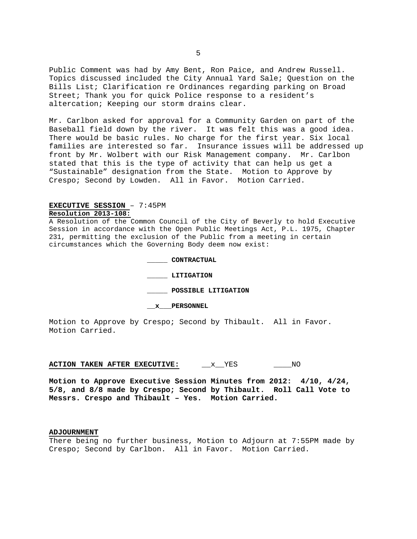Public Comment was had by Amy Bent, Ron Paice, and Andrew Russell. Topics discussed included the City Annual Yard Sale; Question on the Bills List; Clarification re Ordinances regarding parking on Broad Street; Thank you for quick Police response to a resident's altercation; Keeping our storm drains clear.

Mr. Carlbon asked for approval for a Community Garden on part of the Baseball field down by the river. It was felt this was a good idea. There would be basic rules. No charge for the first year. Six local families are interested so far. Insurance issues will be addressed up front by Mr. Wolbert with our Risk Management company. Mr. Carlbon stated that this is the type of activity that can help us get a "Sustainable" designation from the State. Motion to Approve by Crespo; Second by Lowden. All in Favor. Motion Carried.

# **EXECUTIVE SESSION** – 7:45PM **Resolution 2013-108:**

A Resolution of the Common Council of the City of Beverly to hold Executive Session in accordance with the Open Public Meetings Act, P.L. 1975, Chapter 231, permitting the exclusion of the Public from a meeting in certain circumstances which the Governing Body deem now exist:

> **\_\_\_\_\_ CONTRACTUAL \_\_\_\_\_ LITIGATION \_\_\_\_\_ POSSIBLE LITIGATION**

 **\_\_x\_\_\_PERSONNEL** 

Motion to Approve by Crespo; Second by Thibault. All in Favor. Motion Carried.

### **ACTION TAKEN AFTER EXECUTIVE:**  $\overline{x}$  YES  $\overline{N}$ O

**Motion to Approve Executive Session Minutes from 2012: 4/10, 4/24, 5/8, and 8/8 made by Crespo; Second by Thibault. Roll Call Vote to Messrs. Crespo and Thibault – Yes. Motion Carried.** 

#### **ADJOURNMENT**

There being no further business, Motion to Adjourn at 7:55PM made by Crespo; Second by Carlbon. All in Favor. Motion Carried.